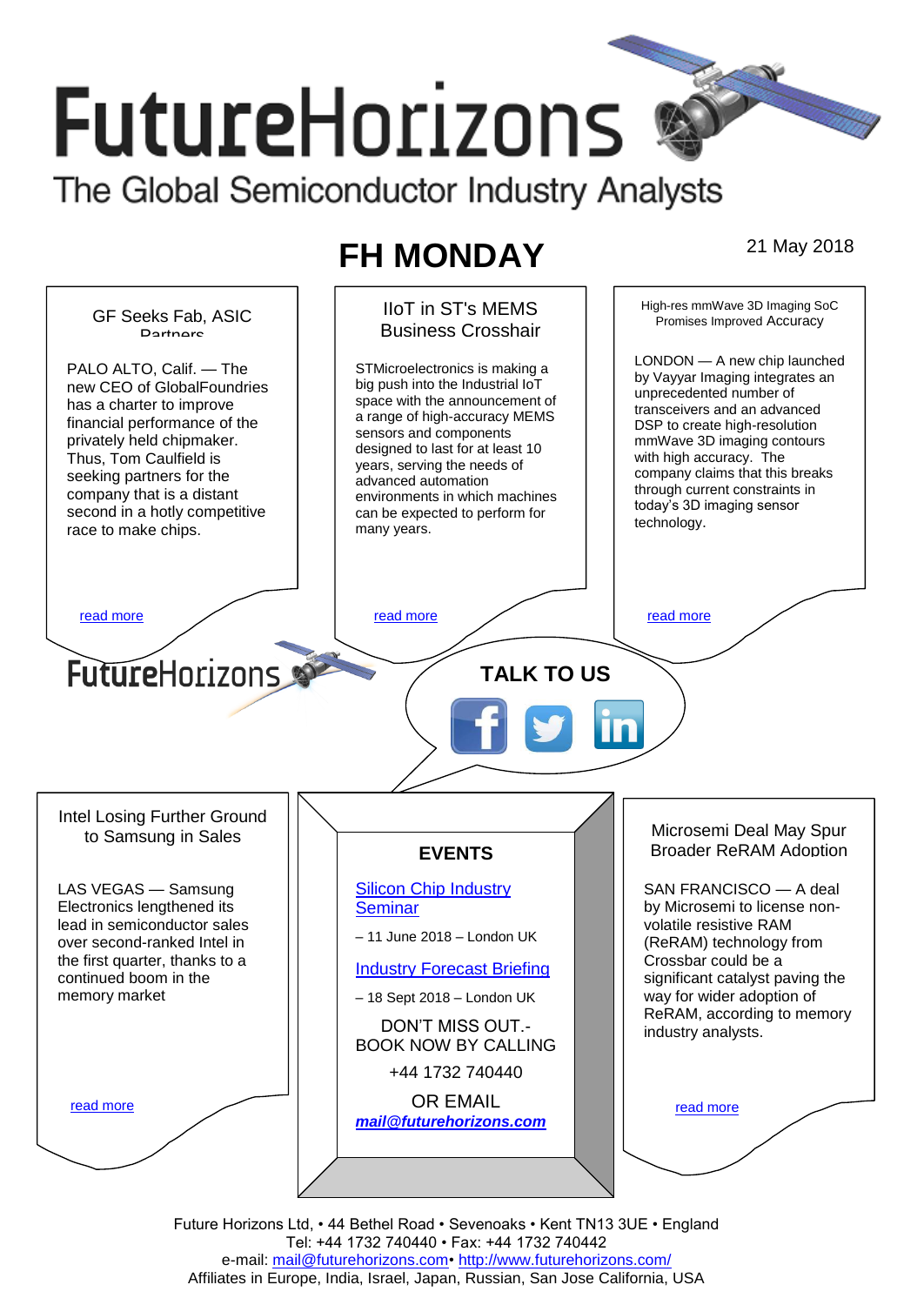# **FutureHorizons** The Global Semiconductor Industry Analysts

# **FH MONDAY** 21 May 2018



Future Horizons Ltd, • 44 Bethel Road • Sevenoaks • Kent TN13 3UE • England Tel: +44 1732 740440 • Fax: +44 1732 740442 e-mail: mail@futurehorizons.com• http://www.futurehorizons.com/ Affiliates in Europe, India, Israel, Japan, Russian, San Jose California, USA